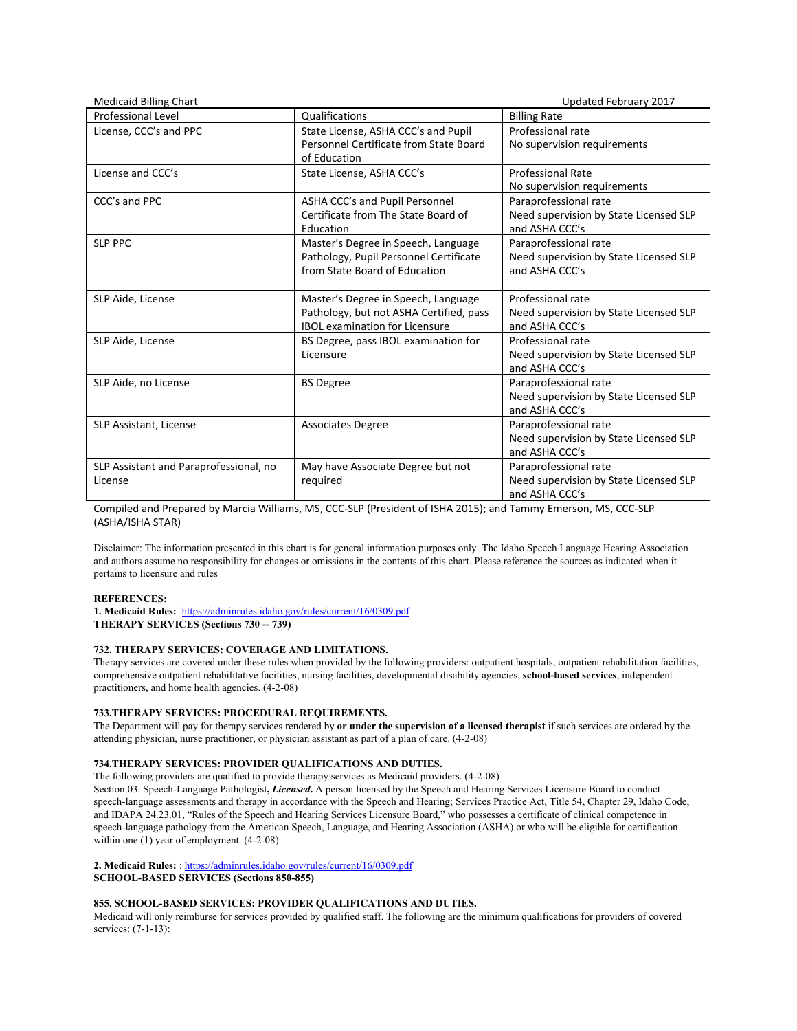| <b>Medicaid Billing Chart</b>                     |                                                                                                                         | Updated February 2017                                                             |
|---------------------------------------------------|-------------------------------------------------------------------------------------------------------------------------|-----------------------------------------------------------------------------------|
| <b>Professional Level</b>                         | Qualifications                                                                                                          | <b>Billing Rate</b>                                                               |
| License, CCC's and PPC                            | State License, ASHA CCC's and Pupil<br>Personnel Certificate from State Board<br>of Education                           | Professional rate<br>No supervision requirements                                  |
| License and CCC's                                 | State License, ASHA CCC's                                                                                               | <b>Professional Rate</b><br>No supervision requirements                           |
| CCC's and PPC                                     | ASHA CCC's and Pupil Personnel<br>Certificate from The State Board of<br>Education                                      | Paraprofessional rate<br>Need supervision by State Licensed SLP<br>and ASHA CCC's |
| <b>SLP PPC</b>                                    | Master's Degree in Speech, Language<br>Pathology, Pupil Personnel Certificate<br>from State Board of Education          | Paraprofessional rate<br>Need supervision by State Licensed SLP<br>and ASHA CCC's |
| SLP Aide, License                                 | Master's Degree in Speech, Language<br>Pathology, but not ASHA Certified, pass<br><b>IBOL examination for Licensure</b> | Professional rate<br>Need supervision by State Licensed SLP<br>and ASHA CCC's     |
| SLP Aide, License                                 | BS Degree, pass IBOL examination for<br>Licensure                                                                       | Professional rate<br>Need supervision by State Licensed SLP<br>and ASHA CCC's     |
| SLP Aide, no License                              | <b>BS</b> Degree                                                                                                        | Paraprofessional rate<br>Need supervision by State Licensed SLP<br>and ASHA CCC's |
| SLP Assistant, License                            | <b>Associates Degree</b>                                                                                                | Paraprofessional rate<br>Need supervision by State Licensed SLP<br>and ASHA CCC's |
| SLP Assistant and Paraprofessional, no<br>License | May have Associate Degree but not<br>required                                                                           | Paraprofessional rate<br>Need supervision by State Licensed SLP<br>and ASHA CCC's |

Compiled and Prepared by Marcia Williams, MS, CCC-SLP (President of ISHA 2015); and Tammy Emerson, MS, CCC-SLP (ASHA/ISHA STAR)

Disclaimer: The information presented in this chart is for general information purposes only. The Idaho Speech Language Hearing Association and authors assume no responsibility for changes or omissions in the contents of this chart. Please reference the sources as indicated when it pertains to licensure and rules

# **REFERENCES:**

**1. Medicaid Rules:** <https://adminrules.idaho.gov/rules/current/16/0309.pdf> **THERAPY SERVICES (Sections 730 -- 739)**

# **732. THERAPY SERVICES: COVERAGE AND LIMITATIONS.**

Therapy services are covered under these rules when provided by the following providers: outpatient hospitals, outpatient rehabilitation facilities, comprehensive outpatient rehabilitative facilities, nursing facilities, developmental disability agencies, **school-based services**, independent practitioners, and home health agencies. (4-2-08)

# **733.THERAPY SERVICES: PROCEDURAL REQUIREMENTS.**

The Department will pay for therapy services rendered by **or under the supervision of a licensed therapist** if such services are ordered by the attending physician, nurse practitioner, or physician assistant as part of a plan of care. (4-2-08)

# **734.THERAPY SERVICES: PROVIDER QUALIFICATIONS AND DUTIES.**

The following providers are qualified to provide therapy services as Medicaid providers. (4-2-08)

Section 03. Speech-Language Pathologist**,** *Licensed***.** A person licensed by the Speech and Hearing Services Licensure Board to conduct speech-language assessments and therapy in accordance with the Speech and Hearing; Services Practice Act, Title 54, Chapter 29, Idaho Code, and IDAPA 24.23.01, "Rules of the Speech and Hearing Services Licensure Board," who possesses a certificate of clinical competence in speech-language pathology from the American Speech, Language, and Hearing Association (ASHA) or who will be eligible for certification within one (1) year of employment.  $(4-2-08)$ 

## **2. Medicaid Rules:** : <https://adminrules.idaho.gov/rules/current/16/0309.pdf> **SCHOOL-BASED SERVICES (Sections 850-855)**

# **855. SCHOOL-BASED SERVICES: PROVIDER QUALIFICATIONS AND DUTIES.**

Medicaid will only reimburse for services provided by qualified staff. The following are the minimum qualifications for providers of covered services: (7-1-13):